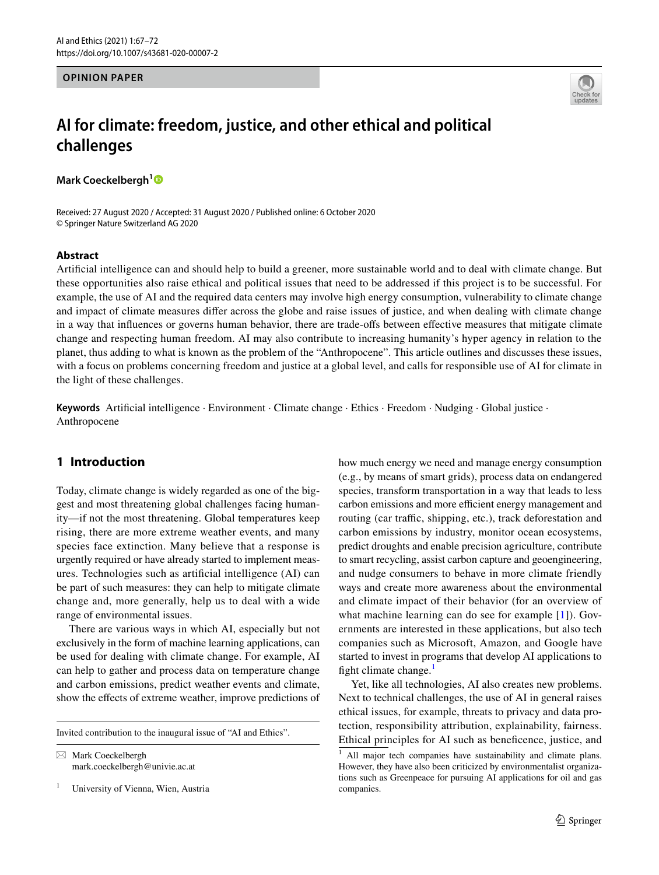#### **OPINION PAPER**



# **AI for climate: freedom, justice, and other ethical and political challenges**

**Mark Coeckelbergh[1](http://orcid.org/0000-0001-9576-1002)**

Received: 27 August 2020 / Accepted: 31 August 2020 / Published online: 6 October 2020 © Springer Nature Switzerland AG 2020

#### **Abstract**

Artifcial intelligence can and should help to build a greener, more sustainable world and to deal with climate change. But these opportunities also raise ethical and political issues that need to be addressed if this project is to be successful. For example, the use of AI and the required data centers may involve high energy consumption, vulnerability to climate change and impact of climate measures difer across the globe and raise issues of justice, and when dealing with climate change in a way that infuences or governs human behavior, there are trade-ofs between efective measures that mitigate climate change and respecting human freedom. AI may also contribute to increasing humanity's hyper agency in relation to the planet, thus adding to what is known as the problem of the "Anthropocene". This article outlines and discusses these issues, with a focus on problems concerning freedom and justice at a global level, and calls for responsible use of AI for climate in the light of these challenges.

**Keywords** Artifcial intelligence · Environment · Climate change · Ethics · Freedom · Nudging · Global justice · Anthropocene

# **1 Introduction**

Today, climate change is widely regarded as one of the biggest and most threatening global challenges facing humanity—if not the most threatening. Global temperatures keep rising, there are more extreme weather events, and many species face extinction. Many believe that a response is urgently required or have already started to implement measures. Technologies such as artifcial intelligence (AI) can be part of such measures: they can help to mitigate climate change and, more generally, help us to deal with a wide range of environmental issues.

There are various ways in which AI, especially but not exclusively in the form of machine learning applications, can be used for dealing with climate change. For example, AI can help to gather and process data on temperature change and carbon emissions, predict weather events and climate, show the efects of extreme weather, improve predictions of

 $\boxtimes$  Mark Coeckelbergh mark.coeckelbergh@univie.ac.at

<sup>1</sup> University of Vienna, Wien, Austria

how much energy we need and manage energy consumption (e.g., by means of smart grids), process data on endangered species, transform transportation in a way that leads to less carbon emissions and more efficient energy management and routing (car traffic, shipping, etc.), track deforestation and carbon emissions by industry, monitor ocean ecosystems, predict droughts and enable precision agriculture, contribute to smart recycling, assist carbon capture and geoengineering, and nudge consumers to behave in more climate friendly ways and create more awareness about the environmental and climate impact of their behavior (for an overview of what machine learning can do see for example [[1](#page-5-0)]). Governments are interested in these applications, but also tech companies such as Microsoft, Amazon, and Google have started to invest in programs that develop AI applications to fight climate change. $\frac{1}{1}$  $\frac{1}{1}$  $\frac{1}{1}$ 

Yet, like all technologies, AI also creates new problems. Next to technical challenges, the use of AI in general raises ethical issues, for example, threats to privacy and data protection, responsibility attribution, explainability, fairness. Ethical principles for AI such as benefcence, justice, and Invited contribution to the inaugural issue of "AI and Ethics".

<span id="page-0-0"></span><sup>&</sup>lt;sup>1</sup> All major tech companies have sustainability and climate plans. However, they have also been criticized by environmentalist organizations such as Greenpeace for pursuing AI applications for oil and gas companies.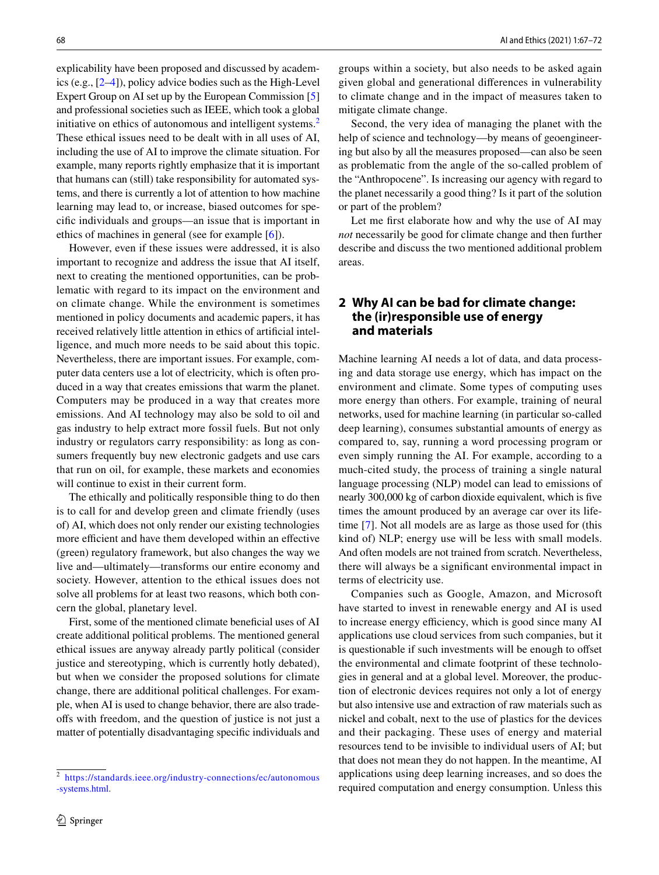explicability have been proposed and discussed by academics (e.g., [[2–](#page-5-1)[4\]](#page-5-2)), policy advice bodies such as the High-Level Expert Group on AI set up by the European Commission [[5\]](#page-5-3) and professional societies such as IEEE, which took a global initiative on ethics of autonomous and intelligent systems.<sup>[2](#page-1-0)</sup> These ethical issues need to be dealt with in all uses of AI, including the use of AI to improve the climate situation. For example, many reports rightly emphasize that it is important that humans can (still) take responsibility for automated systems, and there is currently a lot of attention to how machine learning may lead to, or increase, biased outcomes for specifc individuals and groups—an issue that is important in ethics of machines in general (see for example [[6](#page-5-4)]).

However, even if these issues were addressed, it is also important to recognize and address the issue that AI itself, next to creating the mentioned opportunities, can be problematic with regard to its impact on the environment and on climate change. While the environment is sometimes mentioned in policy documents and academic papers, it has received relatively little attention in ethics of artifcial intelligence, and much more needs to be said about this topic. Nevertheless, there are important issues. For example, computer data centers use a lot of electricity, which is often produced in a way that creates emissions that warm the planet. Computers may be produced in a way that creates more emissions. And AI technology may also be sold to oil and gas industry to help extract more fossil fuels. But not only industry or regulators carry responsibility: as long as consumers frequently buy new electronic gadgets and use cars that run on oil, for example, these markets and economies will continue to exist in their current form.

The ethically and politically responsible thing to do then is to call for and develop green and climate friendly (uses of) AI, which does not only render our existing technologies more efficient and have them developed within an effective (green) regulatory framework, but also changes the way we live and—ultimately—transforms our entire economy and society. However, attention to the ethical issues does not solve all problems for at least two reasons, which both concern the global, planetary level.

First, some of the mentioned climate benefcial uses of AI create additional political problems. The mentioned general ethical issues are anyway already partly political (consider justice and stereotyping, which is currently hotly debated), but when we consider the proposed solutions for climate change, there are additional political challenges. For example, when AI is used to change behavior, there are also tradeofs with freedom, and the question of justice is not just a matter of potentially disadvantaging specifc individuals and

groups within a society, but also needs to be asked again given global and generational diferences in vulnerability to climate change and in the impact of measures taken to mitigate climate change.

Second, the very idea of managing the planet with the help of science and technology—by means of geoengineering but also by all the measures proposed—can also be seen as problematic from the angle of the so-called problem of the "Anthropocene". Is increasing our agency with regard to the planet necessarily a good thing? Is it part of the solution or part of the problem?

Let me frst elaborate how and why the use of AI may *not* necessarily be good for climate change and then further describe and discuss the two mentioned additional problem areas.

## **2 Why AI can be bad for climate change: the (ir)responsible use of energy and materials**

Machine learning AI needs a lot of data, and data processing and data storage use energy, which has impact on the environment and climate. Some types of computing uses more energy than others. For example, training of neural networks, used for machine learning (in particular so-called deep learning), consumes substantial amounts of energy as compared to, say, running a word processing program or even simply running the AI. For example, according to a much-cited study, the process of training a single natural language processing (NLP) model can lead to emissions of nearly 300,000 kg of carbon dioxide equivalent, which is fve times the amount produced by an average car over its lifetime [\[7](#page-5-5)]. Not all models are as large as those used for (this kind of) NLP; energy use will be less with small models. And often models are not trained from scratch. Nevertheless, there will always be a signifcant environmental impact in terms of electricity use.

Companies such as Google, Amazon, and Microsoft have started to invest in renewable energy and AI is used to increase energy efficiency, which is good since many AI applications use cloud services from such companies, but it is questionable if such investments will be enough to offset the environmental and climate footprint of these technologies in general and at a global level. Moreover, the production of electronic devices requires not only a lot of energy but also intensive use and extraction of raw materials such as nickel and cobalt, next to the use of plastics for the devices and their packaging. These uses of energy and material resources tend to be invisible to individual users of AI; but that does not mean they do not happen. In the meantime, AI applications using deep learning increases, and so does the required computation and energy consumption. Unless this

<span id="page-1-0"></span><sup>2</sup> [https://standards.ieee.org/industry-connections/ec/autonomous](https://standards.ieee.org/industry-connections/ec/autonomous-systems.html) [-systems.html](https://standards.ieee.org/industry-connections/ec/autonomous-systems.html).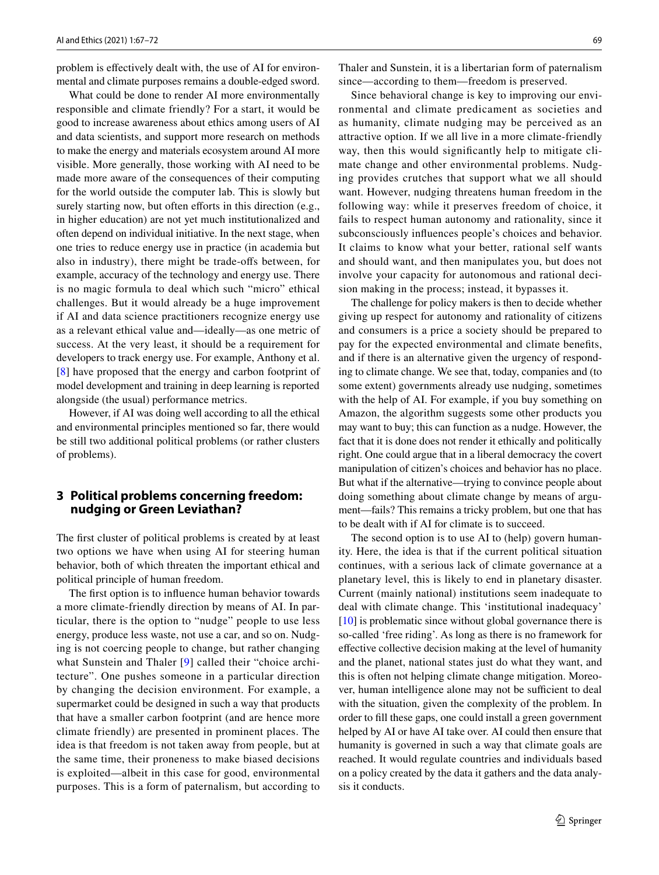problem is efectively dealt with, the use of AI for environmental and climate purposes remains a double-edged sword.

What could be done to render AI more environmentally responsible and climate friendly? For a start, it would be good to increase awareness about ethics among users of AI and data scientists, and support more research on methods to make the energy and materials ecosystem around AI more visible. More generally, those working with AI need to be made more aware of the consequences of their computing for the world outside the computer lab. This is slowly but surely starting now, but often efforts in this direction (e.g., in higher education) are not yet much institutionalized and often depend on individual initiative. In the next stage, when one tries to reduce energy use in practice (in academia but also in industry), there might be trade-ofs between, for example, accuracy of the technology and energy use. There is no magic formula to deal which such "micro" ethical challenges. But it would already be a huge improvement if AI and data science practitioners recognize energy use as a relevant ethical value and—ideally—as one metric of success. At the very least, it should be a requirement for developers to track energy use. For example, Anthony et al. [\[8\]](#page-5-6) have proposed that the energy and carbon footprint of model development and training in deep learning is reported alongside (the usual) performance metrics.

However, if AI was doing well according to all the ethical and environmental principles mentioned so far, there would be still two additional political problems (or rather clusters of problems).

## **3 Political problems concerning freedom: nudging or Green Leviathan?**

The frst cluster of political problems is created by at least two options we have when using AI for steering human behavior, both of which threaten the important ethical and political principle of human freedom.

The frst option is to infuence human behavior towards a more climate-friendly direction by means of AI. In particular, there is the option to "nudge" people to use less energy, produce less waste, not use a car, and so on. Nudging is not coercing people to change, but rather changing what Sunstein and Thaler [\[9\]](#page-5-7) called their "choice architecture". One pushes someone in a particular direction by changing the decision environment. For example, a supermarket could be designed in such a way that products that have a smaller carbon footprint (and are hence more climate friendly) are presented in prominent places. The idea is that freedom is not taken away from people, but at the same time, their proneness to make biased decisions is exploited—albeit in this case for good, environmental purposes. This is a form of paternalism, but according to Thaler and Sunstein, it is a libertarian form of paternalism since—according to them—freedom is preserved.

Since behavioral change is key to improving our environmental and climate predicament as societies and as humanity, climate nudging may be perceived as an attractive option. If we all live in a more climate-friendly way, then this would signifcantly help to mitigate climate change and other environmental problems. Nudging provides crutches that support what we all should want. However, nudging threatens human freedom in the following way: while it preserves freedom of choice, it fails to respect human autonomy and rationality, since it subconsciously infuences people's choices and behavior. It claims to know what your better, rational self wants and should want, and then manipulates you, but does not involve your capacity for autonomous and rational decision making in the process; instead, it bypasses it.

The challenge for policy makers is then to decide whether giving up respect for autonomy and rationality of citizens and consumers is a price a society should be prepared to pay for the expected environmental and climate benefts, and if there is an alternative given the urgency of responding to climate change. We see that, today, companies and (to some extent) governments already use nudging, sometimes with the help of AI. For example, if you buy something on Amazon, the algorithm suggests some other products you may want to buy; this can function as a nudge. However, the fact that it is done does not render it ethically and politically right. One could argue that in a liberal democracy the covert manipulation of citizen's choices and behavior has no place. But what if the alternative—trying to convince people about doing something about climate change by means of argument—fails? This remains a tricky problem, but one that has to be dealt with if AI for climate is to succeed.

The second option is to use AI to (help) govern humanity. Here, the idea is that if the current political situation continues, with a serious lack of climate governance at a planetary level, this is likely to end in planetary disaster. Current (mainly national) institutions seem inadequate to deal with climate change. This 'institutional inadequacy' [\[10](#page-5-8)] is problematic since without global governance there is so-called 'free riding'. As long as there is no framework for efective collective decision making at the level of humanity and the planet, national states just do what they want, and this is often not helping climate change mitigation. Moreover, human intelligence alone may not be sufficient to deal with the situation, given the complexity of the problem. In order to fll these gaps, one could install a green government helped by AI or have AI take over. AI could then ensure that humanity is governed in such a way that climate goals are reached. It would regulate countries and individuals based on a policy created by the data it gathers and the data analysis it conducts.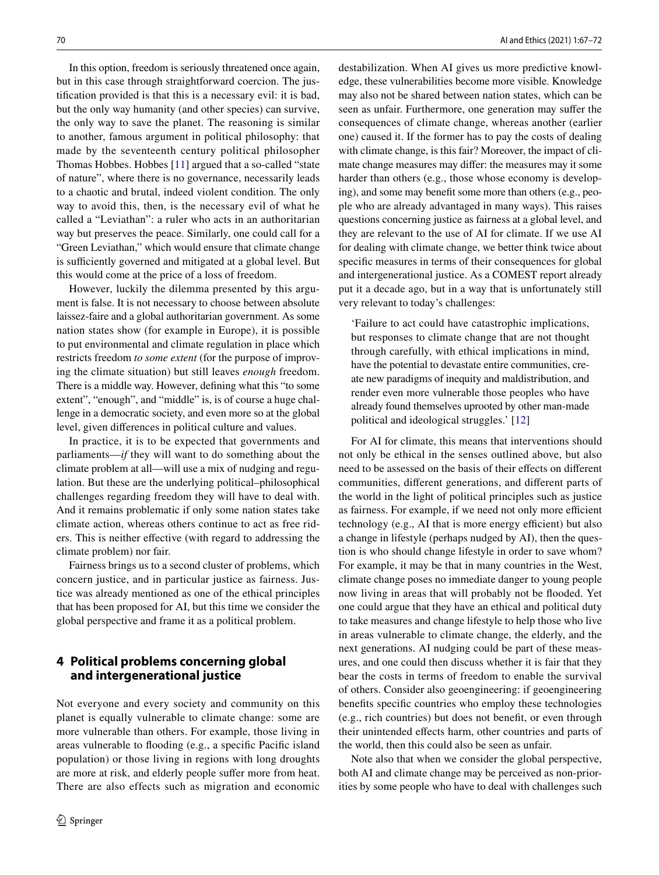In this option, freedom is seriously threatened once again, but in this case through straightforward coercion. The justifcation provided is that this is a necessary evil: it is bad, but the only way humanity (and other species) can survive, the only way to save the planet. The reasoning is similar to another, famous argument in political philosophy: that made by the seventeenth century political philosopher Thomas Hobbes. Hobbes [[11\]](#page-5-9) argued that a so-called "state of nature", where there is no governance, necessarily leads to a chaotic and brutal, indeed violent condition. The only way to avoid this, then, is the necessary evil of what he called a "Leviathan": a ruler who acts in an authoritarian way but preserves the peace. Similarly, one could call for a "Green Leviathan," which would ensure that climate change is sufficiently governed and mitigated at a global level. But this would come at the price of a loss of freedom.

However, luckily the dilemma presented by this argument is false. It is not necessary to choose between absolute laissez-faire and a global authoritarian government. As some nation states show (for example in Europe), it is possible to put environmental and climate regulation in place which restricts freedom *to some extent* (for the purpose of improving the climate situation) but still leaves *enough* freedom. There is a middle way. However, defning what this "to some extent", "enough", and "middle" is, is of course a huge challenge in a democratic society, and even more so at the global level, given diferences in political culture and values.

In practice, it is to be expected that governments and parliaments—*if* they will want to do something about the climate problem at all—will use a mix of nudging and regulation. But these are the underlying political–philosophical challenges regarding freedom they will have to deal with. And it remains problematic if only some nation states take climate action, whereas others continue to act as free riders. This is neither efective (with regard to addressing the climate problem) nor fair.

Fairness brings us to a second cluster of problems, which concern justice, and in particular justice as fairness. Justice was already mentioned as one of the ethical principles that has been proposed for AI, but this time we consider the global perspective and frame it as a political problem.

## **4 Political problems concerning global and intergenerational justice**

Not everyone and every society and community on this planet is equally vulnerable to climate change: some are more vulnerable than others. For example, those living in areas vulnerable to fooding (e.g., a specifc Pacifc island population) or those living in regions with long droughts are more at risk, and elderly people sufer more from heat. There are also effects such as migration and economic destabilization. When AI gives us more predictive knowledge, these vulnerabilities become more visible. Knowledge may also not be shared between nation states, which can be seen as unfair. Furthermore, one generation may sufer the consequences of climate change, whereas another (earlier one) caused it. If the former has to pay the costs of dealing with climate change, is this fair? Moreover, the impact of climate change measures may difer: the measures may it some harder than others (e.g., those whose economy is developing), and some may beneft some more than others (e.g., people who are already advantaged in many ways). This raises questions concerning justice as fairness at a global level, and they are relevant to the use of AI for climate. If we use AI for dealing with climate change, we better think twice about specifc measures in terms of their consequences for global and intergenerational justice. As a COMEST report already put it a decade ago, but in a way that is unfortunately still very relevant to today's challenges:

'Failure to act could have catastrophic implications, but responses to climate change that are not thought through carefully, with ethical implications in mind, have the potential to devastate entire communities, create new paradigms of inequity and maldistribution, and render even more vulnerable those peoples who have already found themselves uprooted by other man-made political and ideological struggles.' [[12\]](#page-5-10)

For AI for climate, this means that interventions should not only be ethical in the senses outlined above, but also need to be assessed on the basis of their efects on diferent communities, diferent generations, and diferent parts of the world in the light of political principles such as justice as fairness. For example, if we need not only more efficient technology (e.g., AI that is more energy efficient) but also a change in lifestyle (perhaps nudged by AI), then the question is who should change lifestyle in order to save whom? For example, it may be that in many countries in the West, climate change poses no immediate danger to young people now living in areas that will probably not be fooded. Yet one could argue that they have an ethical and political duty to take measures and change lifestyle to help those who live in areas vulnerable to climate change, the elderly, and the next generations. AI nudging could be part of these measures, and one could then discuss whether it is fair that they bear the costs in terms of freedom to enable the survival of others. Consider also geoengineering: if geoengineering benefts specifc countries who employ these technologies (e.g., rich countries) but does not beneft, or even through their unintended efects harm, other countries and parts of the world, then this could also be seen as unfair.

Note also that when we consider the global perspective, both AI and climate change may be perceived as non-priorities by some people who have to deal with challenges such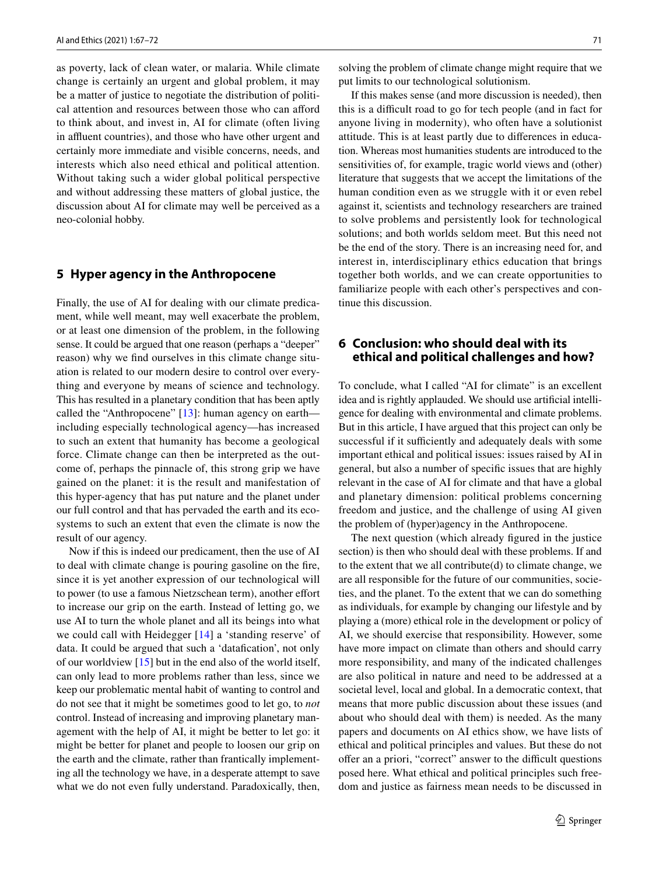as poverty, lack of clean water, or malaria. While climate change is certainly an urgent and global problem, it may be a matter of justice to negotiate the distribution of political attention and resources between those who can aford to think about, and invest in, AI for climate (often living in affluent countries), and those who have other urgent and certainly more immediate and visible concerns, needs, and interests which also need ethical and political attention. Without taking such a wider global political perspective and without addressing these matters of global justice, the discussion about AI for climate may well be perceived as a neo-colonial hobby.

#### **5 Hyper agency in the Anthropocene**

Finally, the use of AI for dealing with our climate predicament, while well meant, may well exacerbate the problem, or at least one dimension of the problem, in the following sense. It could be argued that one reason (perhaps a "deeper" reason) why we fnd ourselves in this climate change situation is related to our modern desire to control over everything and everyone by means of science and technology. This has resulted in a planetary condition that has been aptly called the "Anthropocene" [[13](#page-5-11)]: human agency on earth including especially technological agency—has increased to such an extent that humanity has become a geological force. Climate change can then be interpreted as the outcome of, perhaps the pinnacle of, this strong grip we have gained on the planet: it is the result and manifestation of this hyper-agency that has put nature and the planet under our full control and that has pervaded the earth and its ecosystems to such an extent that even the climate is now the result of our agency.

Now if this is indeed our predicament, then the use of AI to deal with climate change is pouring gasoline on the fre, since it is yet another expression of our technological will to power (to use a famous Nietzschean term), another effort to increase our grip on the earth. Instead of letting go, we use AI to turn the whole planet and all its beings into what we could call with Heidegger [\[14\]](#page-5-12) a 'standing reserve' of data. It could be argued that such a 'datafcation', not only of our worldview [\[15](#page-5-13)] but in the end also of the world itself, can only lead to more problems rather than less, since we keep our problematic mental habit of wanting to control and do not see that it might be sometimes good to let go, to *not* control. Instead of increasing and improving planetary management with the help of AI, it might be better to let go: it might be better for planet and people to loosen our grip on the earth and the climate, rather than frantically implementing all the technology we have, in a desperate attempt to save what we do not even fully understand. Paradoxically, then,

solving the problem of climate change might require that we put limits to our technological solutionism.

If this makes sense (and more discussion is needed), then this is a difficult road to go for tech people (and in fact for anyone living in modernity), who often have a solutionist attitude. This is at least partly due to diferences in education. Whereas most humanities students are introduced to the sensitivities of, for example, tragic world views and (other) literature that suggests that we accept the limitations of the human condition even as we struggle with it or even rebel against it, scientists and technology researchers are trained to solve problems and persistently look for technological solutions; and both worlds seldom meet. But this need not be the end of the story. There is an increasing need for, and interest in, interdisciplinary ethics education that brings together both worlds, and we can create opportunities to familiarize people with each other's perspectives and continue this discussion.

# **6 Conclusion: who should deal with its ethical and political challenges and how?**

To conclude, what I called "AI for climate" is an excellent idea and is rightly applauded. We should use artifcial intelligence for dealing with environmental and climate problems. But in this article, I have argued that this project can only be successful if it sufficiently and adequately deals with some important ethical and political issues: issues raised by AI in general, but also a number of specifc issues that are highly relevant in the case of AI for climate and that have a global and planetary dimension: political problems concerning freedom and justice, and the challenge of using AI given the problem of (hyper)agency in the Anthropocene.

The next question (which already fgured in the justice section) is then who should deal with these problems. If and to the extent that we all contribute(d) to climate change, we are all responsible for the future of our communities, societies, and the planet. To the extent that we can do something as individuals, for example by changing our lifestyle and by playing a (more) ethical role in the development or policy of AI, we should exercise that responsibility. However, some have more impact on climate than others and should carry more responsibility, and many of the indicated challenges are also political in nature and need to be addressed at a societal level, local and global. In a democratic context, that means that more public discussion about these issues (and about who should deal with them) is needed. As the many papers and documents on AI ethics show, we have lists of ethical and political principles and values. But these do not offer an a priori, "correct" answer to the difficult questions posed here. What ethical and political principles such freedom and justice as fairness mean needs to be discussed in